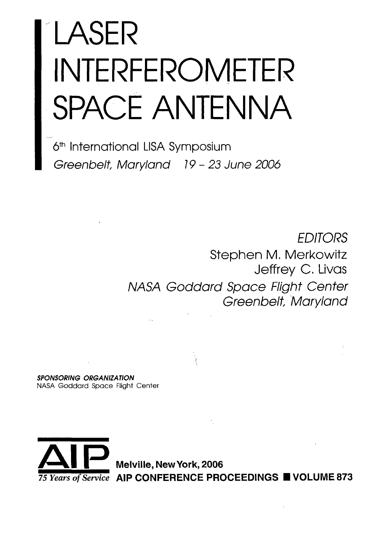# LASER INTERFEROMETER SPACE ANTENNA

6<sup>th</sup> International LISA Symposium Greenbelt, Maryland 19-23 June 2006

> **FDITORS** Stephen M. Merkowitz Jeffrey C. Livas NASA Goddard Space Flight Center Greenbelt, Maryland

**SPONSORING ORGANIZATION** NASA Goddard Space Flight Center



Melville, New York, 2006 75 Years of Service AIP CONFERENCE PROCEEDINGS UNDER 873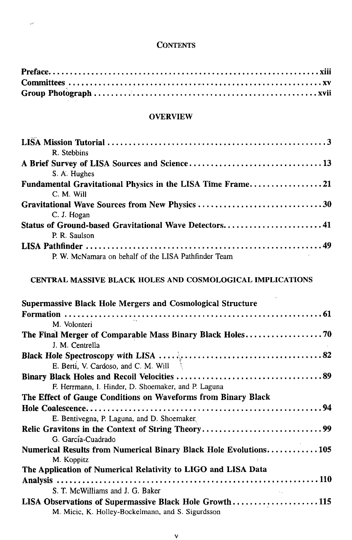#### **CONTENTS**

 $\overline{\nu}$ 

#### **OVERVIEW**

| R. Stebbins                                                      |
|------------------------------------------------------------------|
|                                                                  |
| S. A. Hughes                                                     |
| Fundamental Gravitational Physics in the LISA Time Frame21       |
| C. M. Will                                                       |
| Gravitational Wave Sources from New Physics 30                   |
| C. J. Hogan                                                      |
| Status of Ground-based Gravitational Wave Detectors41            |
| P. R. Saulson                                                    |
|                                                                  |
| P. W. McNamara on behalf of the LISA Pathfinder Team             |
|                                                                  |
| <b>CENTRAL MASSIVE BLACK HOLES AND COSMOLOGICAL IMPLICATIONS</b> |

| - CENTRAL MASSIVE BLACK HOLES AND COSMOLOGICAL IMPLICATIONS |  |  |
|-------------------------------------------------------------|--|--|
|                                                             |  |  |
|                                                             |  |  |

| <b>Supermassive Black Hole Mergers and Cosmological Structure</b> |
|-------------------------------------------------------------------|
|                                                                   |
| M. Volonteri                                                      |
|                                                                   |
| J. M. Centrella                                                   |
|                                                                   |
| E. Berti, V. Cardoso, and C. M. Will                              |
|                                                                   |
| F. Herrmann, I. Hinder, D. Shoemaker, and P. Laguna               |
| The Effect of Gauge Conditions on Waveforms from Binary Black     |
|                                                                   |
| E. Bentivegna, P. Laguna, and D. Shoemaker.                       |
|                                                                   |
| G. García-Cuadrado                                                |
| Numerical Results from Numerical Binary Black Hole Evolutions 105 |
| M. Koppitz                                                        |
| The Application of Numerical Relativity to LIGO and LISA Data     |
|                                                                   |
| S. T. McWilliams and J. G. Baker                                  |
| LISA Observations of Supermassive Black Hole Growth115            |
| M. Micic, K. Holley-Bockelmann, and S. Sigurdsson                 |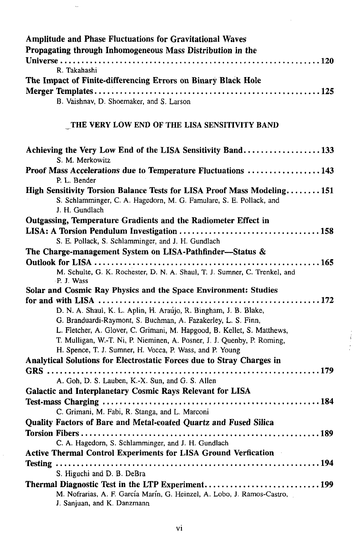| <b>Amplitude and Phase Fluctuations for Gravitational Waves</b><br>Propagating through Inhomogeneous Mass Distribution in the<br>R. Takahashi                                                                                                                                                                                                       |
|-----------------------------------------------------------------------------------------------------------------------------------------------------------------------------------------------------------------------------------------------------------------------------------------------------------------------------------------------------|
| The Impact of Finite-differencing Errors on Binary Black Hole                                                                                                                                                                                                                                                                                       |
| B. Vaishnav, D. Shoemaker, and S. Larson                                                                                                                                                                                                                                                                                                            |
| THE VERY LOW END OF THE LISA SENSITIVITY BAND                                                                                                                                                                                                                                                                                                       |
| Achieving the Very Low End of the LISA Sensitivity Band133<br>S. M. Merkowitz                                                                                                                                                                                                                                                                       |
| Proof Mass Accelerations due to Temperature Fluctuations  143<br>P. L. Bender                                                                                                                                                                                                                                                                       |
| High Sensitivity Torsion Balance Tests for LISA Proof Mass Modeling151<br>S. Schlamminger, C. A. Hagedorn, M. G. Famulare, S. E. Pollack, and<br>J. H. Gundlach                                                                                                                                                                                     |
| Outgassing, Temperature Gradients and the Radiometer Effect in                                                                                                                                                                                                                                                                                      |
| S. E. Pollack, S. Schlamminger, and J. H. Gundlach                                                                                                                                                                                                                                                                                                  |
| The Charge-management System on LISA-Pathfinder—Status &                                                                                                                                                                                                                                                                                            |
| M. Schulte, G. K. Rochester, D. N. A. Shaul, T. J. Sumner, C. Trenkel, and<br>P. J. Wass                                                                                                                                                                                                                                                            |
| Solar and Cosmic Ray Physics and the Space Environment: Studies                                                                                                                                                                                                                                                                                     |
| D. N. A. Shaul, K. L. Aplin, H. Araújo, R. Bingham, J. B. Blake,<br>G. Branduardi-Raymont, S. Buchman, A. Fazakerley, L. S. Finn,<br>L. Fletcher, A. Glover, C. Grimani, M. Hapgood, B. Kellet, S. Matthews,<br>T. Mulligan, W.-T. Ni, P. Nieminen, A. Posner, J. J. Quenby, P. Roming,<br>H. Spence, T. J. Sumner, H. Vocca, P. Wass, and P. Young |
| Analytical Solutions for Electrostatic Forces due to Stray Charges in                                                                                                                                                                                                                                                                               |
| A. Goh, D. S. Lauben, K.-X. Sun, and G. S. Allen<br>Galactic and Interplanetary Cosmic Rays Relevant for LISA                                                                                                                                                                                                                                       |
|                                                                                                                                                                                                                                                                                                                                                     |
| C. Grimani, M. Fabi, R. Stanga, and L. Marconi<br>Quality Factors of Bare and Metal-coated Quartz and Fused Silica                                                                                                                                                                                                                                  |
|                                                                                                                                                                                                                                                                                                                                                     |
| C. A. Hagedorn, S. Schlamminger, and J. H. Gundlach                                                                                                                                                                                                                                                                                                 |
| <b>Active Thermal Control Experiments for LISA Ground Verfication</b>                                                                                                                                                                                                                                                                               |
| S. Higuchi and D. B. DeBra                                                                                                                                                                                                                                                                                                                          |
| M. Nofrarias, A. F. García Marín, G. Heinzel, A. Lobo, J. Ramos-Castro,<br>J. Sanjuan, and K. Danzmann                                                                                                                                                                                                                                              |

 $\begin{array}{c}\n\bullet \\
\bullet \\
\bullet \\
\bullet\n\end{array}$ 

 $\sim$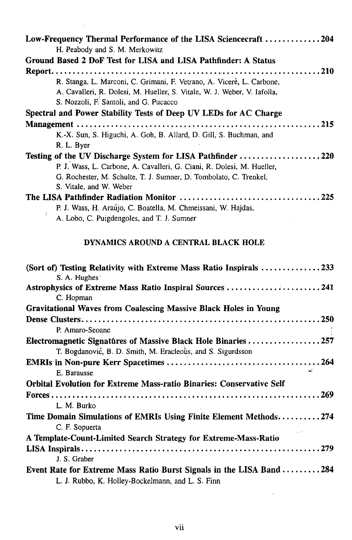| Low-Frequency Thermal Performance of the LISA Sciencecraft 204           |
|--------------------------------------------------------------------------|
| H. Peabody and S. M. Merkowitz                                           |
| Ground Based 2 DoF Test for LISA and LISA Pathfinder: A Status           |
|                                                                          |
| R. Stanga, L. Marconi, C. Grimani, F. Vetrano, A. Vicerè, L. Carbone,    |
| A. Cavalleri, R. Dolesi, M. Hueller, S. Vitale, W. J. Weber, V. Iafolla, |
| S. Nozzoli, F. Santoli, and G. Pucacco                                   |
| Spectral and Power Stability Tests of Deep UV LEDs for AC Charge         |
|                                                                          |
| K.-X. Sun, S. Higuchi, A. Goh, B. Allard, D. Gill, S. Buchman, and       |
| R. L. Byer                                                               |
| Testing of the UV Discharge System for LISA Pathfinder 220               |
| P. J. Wass, L. Carbone, A. Cavalleri, G. Ciani, R. Dolesi, M. Hueller,   |
| G. Rochester, M. Schulte, T. J. Sumner, D. Tombolato, C. Trenkel,        |
| S. Vitale, and W. Weber                                                  |
|                                                                          |
| P. J. Wass, H. Araújo, C. Boatella, M. Chmeissani, W. Hajdas,            |
| A. Lobo, C. Puigdengoles, and T. J. Sumner                               |

## **DYNAMICS AROUND A CENTRAL BLACK HOLE**

| (Sort of) Testing Relativity with Extreme Mass Ratio Inspirals 233<br>S. A. Hughes                                          |
|-----------------------------------------------------------------------------------------------------------------------------|
| Astrophysics of Extreme Mass Ratio Inspiral Sources 241<br>C. Hopman                                                        |
| <b>Gravitational Waves from Coalescing Massive Black Holes in Young</b>                                                     |
|                                                                                                                             |
| P. Amaro-Seoane                                                                                                             |
| Electromagnetic Signatures of Massive Black Hole Binaries257<br>T. Bogdanović, B. D. Smith, M. Eracleous, and S. Sigurdsson |
|                                                                                                                             |
| E. Barausse                                                                                                                 |
| <b>Orbital Evolution for Extreme Mass-ratio Binaries: Conservative Self</b>                                                 |
|                                                                                                                             |
| L. M. Burko                                                                                                                 |
| Time Domain Simulations of EMRIs Using Finite Element Methods274                                                            |
| C. F. Sopuerta                                                                                                              |
| A Template-Count-Limited Search Strategy for Extreme-Mass-Ratio                                                             |
|                                                                                                                             |
| J. S. Graber                                                                                                                |
| Event Rate for Extreme Mass Ratio Burst Signals in the LISA Band 284                                                        |
| L. J. Rubbo, K. Holley-Bockelmann, and L. S. Finn                                                                           |

 $\overline{\phantom{a}}$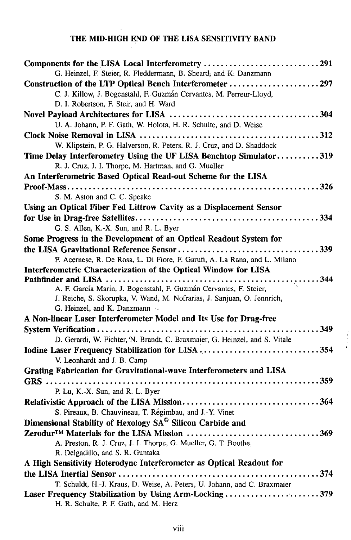## **THE MID-HIGH END OF THE LISA SENSITIVITY BAND**

| Components for the LISA Local Interferometry 291                           |
|----------------------------------------------------------------------------|
| G. Heinzel, F. Steier, R. Fleddermann, B. Sheard, and K. Danzmann          |
| Construction of the LTP Optical Bench Interferometer 297                   |
| C. J. Killow, J. Bogenstahl, F. Guzmán Cervantes, M. Perreur-Lloyd,        |
| D. I. Robertson, F. Steir, and H. Ward                                     |
|                                                                            |
| U. A. Johann, P. F. Gath, W. Holota, H. R. Schulte, and D. Weise           |
|                                                                            |
| W. Klipstein, P. G. Halverson, R. Peters, R. J. Cruz, and D. Shaddock      |
| Time Delay Interferometry Using the UF LISA Benchtop Simulator319          |
| R. J. Cruz, J. I. Thorpe, M. Hartman, and G. Mueller                       |
| An Interferometric Based Optical Read-out Scheme for the LISA              |
|                                                                            |
| S. M. Aston and C. C. Speake                                               |
| Using an Optical Fiber Fed Littrow Cavity as a Displacement Sensor         |
|                                                                            |
| G. S. Allen, K.-X. Sun, and R. L. Byer                                     |
| Some Progress in the Development of an Optical Readout System for          |
|                                                                            |
| F. Acernese, R. De Rosa, L. Di Fiore, F. Garufi, A. La Rana, and L. Milano |
| Interferometric Characterization of the Optical Window for LISA            |
|                                                                            |
| A. F. García Marín, J. Bogenstahl, F. Guzmán Cervantes, F. Steier,         |
| J. Reiche, S. Skorupka, V. Wand, M. Nofrarias, J. Sanjuan, O. Jennrich,    |
| G. Heinzel, and K. Danzmann                                                |
| A Non-linear Laser Interferometer Model and Its Use for Drag-free          |
|                                                                            |
| D. Gerardi, W. Fichter, N. Brandt, C. Braxmaier, G. Heinzel, and S. Vitale |
| Iodine Laser Frequency Stabilization for LISA 354                          |
| V. Leonhardt and J. B. Camp                                                |
| Grating Fabrication for Gravitational-wave Interferometers and LISA        |
|                                                                            |
| P. Lu, K.-X. Sun, and R. L. Byer                                           |
|                                                                            |
| S. Pireaux, B. Chauvineau, T. Régimbau, and J.-Y. Vinet                    |
| Dimensional Stability of Hexology SA® Silicon Carbide and                  |
| Zerodur <sup>™</sup> Materials for the LISA Mission 369                    |
| A. Preston, R. J. Cruz, J. I. Thorpe, G. Mueller, G. T. Boothe,            |
| R. Delgadillo, and S. R. Guntaka                                           |
| A High Sensitivity Heterodyne Interferometer as Optical Readout for        |
|                                                                            |
| T. Schuldt, H.-J. Kraus, D. Weise, A. Peters, U. Johann, and C. Braxmaier  |
| Laser Frequency Stabilization by Using Arm-Locking 379                     |
| H. R. Schulte, P. F. Gath, and M. Herz                                     |

 $\mathfrak{f}$ Ť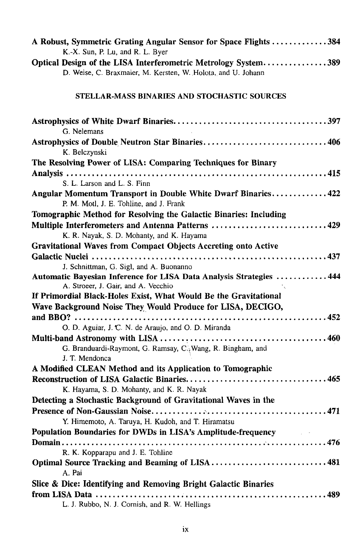| A Robust, Symmetric Grating Angular Sensor for Space Flights 384<br>K.-X. Sun, P. Lu, and R. L. Byer       |
|------------------------------------------------------------------------------------------------------------|
| Optical Design of the LISA Interferometric Metrology System389                                             |
| D. Weise, C. Braxmaier, M. Kersten, W. Holota, and U. Johann                                               |
| STELLAR-MASS BINARIES AND STOCHASTIC SOURCES                                                               |
| G. Nelemans                                                                                                |
| Astrophysics of Double Neutron Star Binaries406<br>K. Belczynski                                           |
| The Resolving Power of LISA: Comparing Techniques for Binary                                               |
| S. L. Larson and L. S. Finn                                                                                |
| Angular Momentum Transport in Double White Dwarf Binaries422<br>P. M. Motl, J. E. Tohline, and J. Frank    |
| Tomographic Method for Resolving the Galactic Binaries: Including                                          |
| Multiple Interferometers and Antenna Patterns 429                                                          |
| K. R. Nayak, S. D. Mohanty, and K. Hayama                                                                  |
| <b>Gravitational Waves from Compact Objects Accreting onto Active</b>                                      |
|                                                                                                            |
| J. Schnittman, G. Sigl, and A. Buonanno                                                                    |
| Automatic Bayesian Inference for LISA Data Analysis Strategies  444<br>A. Stroeer, J. Gair, and A. Vecchio |
| If Primordial Black-Holes Exist, What Would Be the Gravitational                                           |
| Wave Background Noise They Would Produce for LISA, DECIGO,                                                 |
|                                                                                                            |
| O. D. Aguiar, J. C. N. de Araujo, and O. D. Miranda                                                        |
|                                                                                                            |
| G. Branduardi-Raymont, G. Ramsay, C. Wang, R. Bingham, and                                                 |
| J. T. Mendonca                                                                                             |
| A Modified CLEAN Method and its Application to Tomographic                                                 |
| K. Hayama, S. D. Mohanty, and K. R. Nayak                                                                  |
| Detecting a Stochastic Background of Gravitational Waves in the                                            |
|                                                                                                            |
| Y. Himemoto, A. Taruya, H. Kudoh, and T. Hiramatsu                                                         |
| Population Boundaries for DWDs in LISA's Amplitude-frequency                                               |
|                                                                                                            |
| R. K. Kopparapu and J. E. Tohline                                                                          |
| Optimal Source Tracking and Beaming of LISA 481                                                            |
| A. Pai                                                                                                     |
| Slice & Dice: Identifying and Removing Bright Galactic Binaries                                            |
|                                                                                                            |
| L. J. Rubbo, N. J. Cornish, and R. W. Hellings                                                             |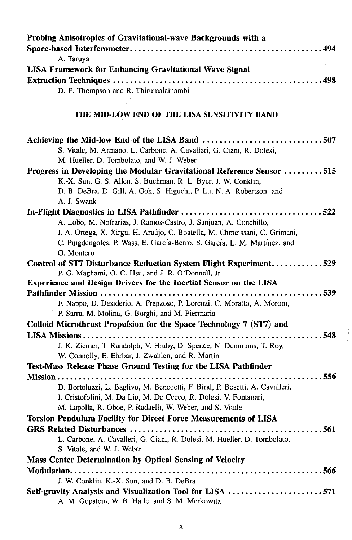| Probing Anisotropies of Gravitational-wave Backgrounds with a                                          |
|--------------------------------------------------------------------------------------------------------|
|                                                                                                        |
| A. Taruya                                                                                              |
| <b>LISA Framework for Enhancing Gravitational Wave Signal</b>                                          |
|                                                                                                        |
| D. E. Thompson and R. Thirumalainambi                                                                  |
|                                                                                                        |
| THE MID-LOW END OF THE LISA SENSITIVITY BAND                                                           |
| Achieving the Mid-low End of the LISA Band 507                                                         |
| S. Vitale, M. Armano, L. Carbone, A. Cavalleri, G. Ciani, R. Dolesi,                                   |
| M. Hueller, D. Tombolato, and W. J. Weber                                                              |
| Progress in Developing the Modular Gravitational Reference Sensor 515                                  |
| K.-X. Sun, G. S. Allen, S. Buchman, R. L. Byer, J. W. Conklin,                                         |
| D. B. DeBra, D. Gill, A. Goh, S. Higuchi, P. Lu, N. A. Robertson, and                                  |
| A. J. Swank                                                                                            |
|                                                                                                        |
| A. Lobo, M. Nofrarias, J. Ramos-Castro, J. Sanjuan, A. Conchillo,                                      |
| J. A. Ortega, X. Xirgu, H. Araújo, C. Boatella, M. Chmeissani, C. Grimani,                             |
| C. Puigdengoles, P. Wass, E. García-Berro, S. García, L. M. Martínez, and                              |
| G. Montero<br>Control of ST7 Disturbance Reduction System Flight Experiment529                         |
| P. G. Maghami, O. C. Hsu, and J. R. O'Donnell, Jr.                                                     |
| <b>Experience and Design Drivers for the Inertial Sensor on the LISA</b>                               |
|                                                                                                        |
| F. Nappo, D. Desiderio, A. Franzoso, P. Lorenzi, C. Moratto, A. Moroni,                                |
| P. Sarra, M. Molina, G. Borghi, and M. Piermaria                                                       |
| Colloid Microthrust Propulsion for the Space Technology 7 (ST7) and                                    |
|                                                                                                        |
| J. K. Ziemer, T. Randolph, V. Hruby, D. Spence, N. Demmons, T. Roy,                                    |
| W. Connolly, E. Ehrbar, J. Zwahlen, and R. Martin                                                      |
| Test-Mass Release Phase Ground Testing for the LISA Pathfinder                                         |
|                                                                                                        |
| D. Bortoluzzi, L. Baglivo, M. Benedetti, F. Biral, P. Bosetti, A. Cavalleri,                           |
| I. Cristofolini, M. Da Lio, M. De Cecco, R. Dolesi, V. Fontanari,                                      |
| M. Lapolla, R. Oboe, P. Radaelli, W. Weber, and S. Vitale                                              |
| Torsion Pendulum Facility for Direct Force Measurements of LISA                                        |
| GRS Related Disturbances<br>$\ldots$ 561<br>. <b>.</b> .                                               |
| L. Carbone, A. Cavalleri, G. Ciani, R. Dolesi, M. Hueller, D. Tombolato,<br>S. Vitale, and W. J. Weber |
| Mass Center Determination by Optical Sensing of Velocity                                               |
|                                                                                                        |
| J. W. Conklin, K.-X. Sun, and D. B. DeBra                                                              |
| Self-gravity Analysis and Visualization Tool for LISA 571                                              |
| A. M. Gopstein, W. B. Haile, and S. M. Merkowitz                                                       |
|                                                                                                        |

 $\label{eq:2.1} \frac{1}{\sqrt{2}}\int_{0}^{\infty}\frac{1}{\sqrt{2\pi}}\left(\frac{1}{\sqrt{2\pi}}\right)^{2\alpha} \frac{1}{\sqrt{2\pi}}\int_{0}^{\infty}\frac{1}{\sqrt{2\pi}}\left(\frac{1}{\sqrt{2\pi}}\right)^{\alpha} \frac{1}{\sqrt{2\pi}}\frac{1}{\sqrt{2\pi}}\int_{0}^{\infty}\frac{1}{\sqrt{2\pi}}\frac{1}{\sqrt{2\pi}}\frac{1}{\sqrt{2\pi}}\frac{1}{\sqrt{2\pi}}\frac{1}{\sqrt{2\pi}}\int_{0}^{\infty}\frac{$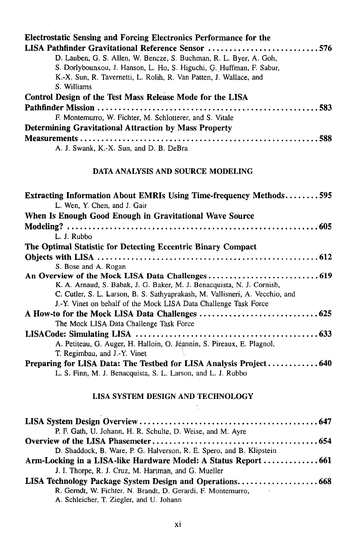| Electrostatic Sensing and Forcing Electronics Performance for the    |
|----------------------------------------------------------------------|
| LISA Pathfinder Gravitational Reference Sensor 576                   |
| D. Lauben, G. S. Allen, W. Bencze, S. Buchman, R. L. Byer, A. Goh,   |
| S. Dorlybounxou, J. Hanson, L. Ho, S. Higuchi, G. Huffman, F. Sabur, |
| K.-X. Sun, R. Tavernetti, L. Rolih, R. Van Patten, J. Wallace, and   |
| S. Williams                                                          |
| Control Design of the Test Mass Release Mode for the LISA            |
|                                                                      |
| F. Montemurro, W. Fichter, M. Schlotterer, and S. Vitale             |
| <b>Determining Gravitational Attraction by Mass Property</b>         |
|                                                                      |
| A. J. Swank, K.-X. Sun, and D. B. DeBra                              |

## **DATA ANALYSIS AND SOURCE MODELING**

| <b>Extracting Information About EMRIs Using Time-frequency Methods595</b>    |
|------------------------------------------------------------------------------|
| L. Wen, Y. Chen, and J. Gair                                                 |
| When Is Enough Good Enough in Gravitational Wave Source                      |
|                                                                              |
| L. J. Rubbo                                                                  |
| The Optimal Statistic for Detecting Eccentric Binary Compact                 |
|                                                                              |
| S. Bose and A. Rogan                                                         |
|                                                                              |
| K. A. Arnaud, S. Babak, J. G. Baker, M. J. Benacquista, N. J. Cornish,       |
| C. Cutler, S. L. Larson, B. S. Sathyaprakash, M. Vallisneri, A. Vecchio, and |
| J.-Y. Vinet on behalf of the Mock LISA Data Challenge Task Force             |
|                                                                              |
| The Mock LISA Data Challenge Task Force                                      |
|                                                                              |
| A. Petiteau, G. Auger, H. Halloin, O. Jeannin, S. Pireaux, E. Plagnol,       |
| T. Regimbau, and J.-Y. Vinet                                                 |
|                                                                              |
| L. S. Finn, M. J. Benacquista, S. L. Larson, and L. J. Rubbo                 |

## **LISA SYSTEM DESIGN AND TECHNOLOGY**

 $\hat{\mathcal{F}}_1$ 

| P. F. Gath, U. Johann, H. R. Schulte, D. Weise, and M. Ayre          |
|----------------------------------------------------------------------|
|                                                                      |
| D. Shaddock, B. Ware, P. G. Halverson, R. E. Spero, and B. Klipstein |
|                                                                      |
| J. I. Thorpe, R. J. Cruz, M. Hartman, and G. Mueller                 |
|                                                                      |
| R. Gerndt, W. Fichter, N. Brandt, D. Gerardi, F. Montemurro,         |
| A. Schleicher, T. Ziegler, and U. Johann                             |